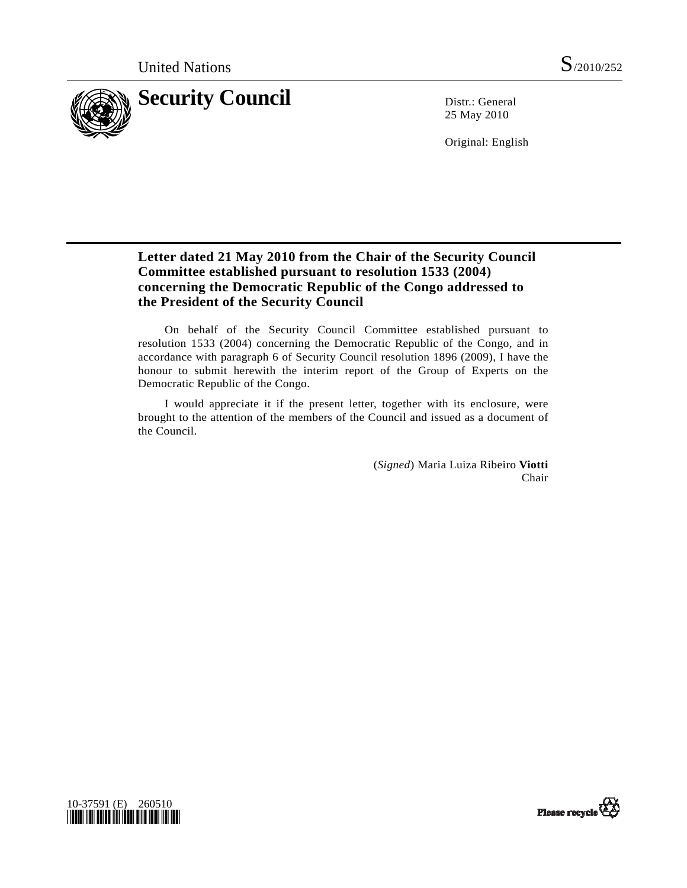

25 May 2010

Original: English

## **Letter dated 21 May 2010 from the Chair of the Security Council Committee established pursuant to resolution 1533 (2004) concerning the Democratic Republic of the Congo addressed to the President of the Security Council**

 On behalf of the Security Council Committee established pursuant to resolution 1533 (2004) concerning the Democratic Republic of the Congo, and in accordance with paragraph 6 of Security Council resolution 1896 (2009), I have the honour to submit herewith the interim report of the Group of Experts on the Democratic Republic of the Congo.

 I would appreciate it if the present letter, together with its enclosure, were brought to the attention of the members of the Council and issued as a document of the Council.

> (*Signed*) Maria Luiza Ribeiro **Viotti** Chair



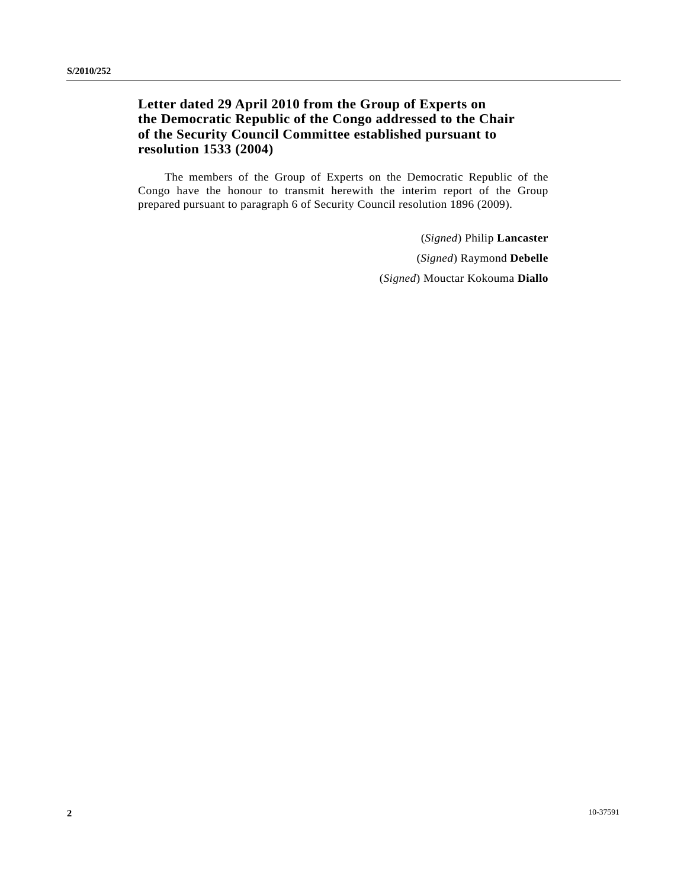## **Letter dated 29 April 2010 from the Group of Experts on the Democratic Republic of the Congo addressed to the Chair of the Security Council Committee established pursuant to resolution 1533 (2004)**

 The members of the Group of Experts on the Democratic Republic of the Congo have the honour to transmit herewith the interim report of the Group prepared pursuant to paragraph 6 of Security Council resolution 1896 (2009).

> (*Signed*) Philip **Lancaster** (*Signed*) Raymond **Debelle** (*Signed*) Mouctar Kokouma **Diallo**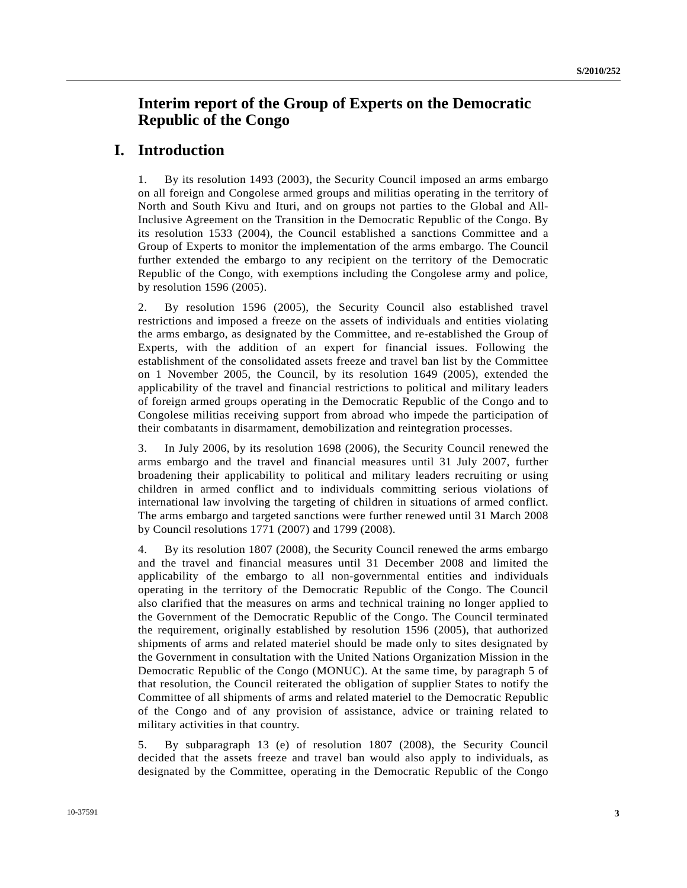# **Interim report of the Group of Experts on the Democratic Republic of the Congo**

### **I. Introduction**

1. By its resolution 1493 (2003), the Security Council imposed an arms embargo on all foreign and Congolese armed groups and militias operating in the territory of North and South Kivu and Ituri, and on groups not parties to the Global and All-Inclusive Agreement on the Transition in the Democratic Republic of the Congo. By its resolution 1533 (2004), the Council established a sanctions Committee and a Group of Experts to monitor the implementation of the arms embargo. The Council further extended the embargo to any recipient on the territory of the Democratic Republic of the Congo, with exemptions including the Congolese army and police, by resolution 1596 (2005).

2. By resolution 1596 (2005), the Security Council also established travel restrictions and imposed a freeze on the assets of individuals and entities violating the arms embargo, as designated by the Committee, and re-established the Group of Experts, with the addition of an expert for financial issues. Following the establishment of the consolidated assets freeze and travel ban list by the Committee on 1 November 2005, the Council, by its resolution 1649 (2005), extended the applicability of the travel and financial restrictions to political and military leaders of foreign armed groups operating in the Democratic Republic of the Congo and to Congolese militias receiving support from abroad who impede the participation of their combatants in disarmament, demobilization and reintegration processes.

3. In July 2006, by its resolution 1698 (2006), the Security Council renewed the arms embargo and the travel and financial measures until 31 July 2007, further broadening their applicability to political and military leaders recruiting or using children in armed conflict and to individuals committing serious violations of international law involving the targeting of children in situations of armed conflict. The arms embargo and targeted sanctions were further renewed until 31 March 2008 by Council resolutions 1771 (2007) and 1799 (2008).

4. By its resolution 1807 (2008), the Security Council renewed the arms embargo and the travel and financial measures until 31 December 2008 and limited the applicability of the embargo to all non-governmental entities and individuals operating in the territory of the Democratic Republic of the Congo. The Council also clarified that the measures on arms and technical training no longer applied to the Government of the Democratic Republic of the Congo. The Council terminated the requirement, originally established by resolution 1596 (2005), that authorized shipments of arms and related materiel should be made only to sites designated by the Government in consultation with the United Nations Organization Mission in the Democratic Republic of the Congo (MONUC). At the same time, by paragraph 5 of that resolution, the Council reiterated the obligation of supplier States to notify the Committee of all shipments of arms and related materiel to the Democratic Republic of the Congo and of any provision of assistance, advice or training related to military activities in that country.

5. By subparagraph 13 (e) of resolution 1807 (2008), the Security Council decided that the assets freeze and travel ban would also apply to individuals, as designated by the Committee, operating in the Democratic Republic of the Congo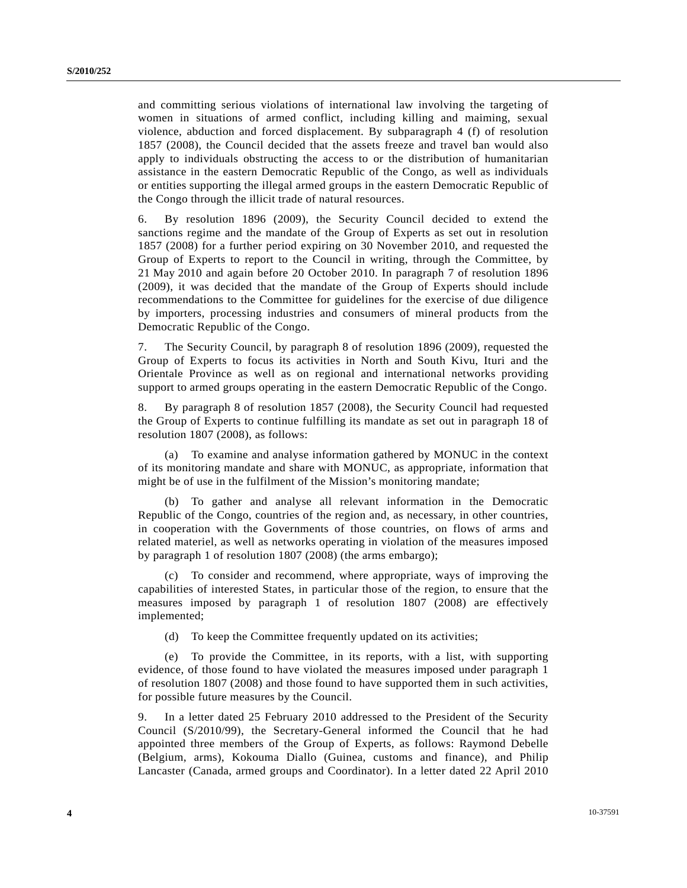and committing serious violations of international law involving the targeting of women in situations of armed conflict, including killing and maiming, sexual violence, abduction and forced displacement. By subparagraph 4 (f) of resolution 1857 (2008), the Council decided that the assets freeze and travel ban would also apply to individuals obstructing the access to or the distribution of humanitarian assistance in the eastern Democratic Republic of the Congo, as well as individuals or entities supporting the illegal armed groups in the eastern Democratic Republic of the Congo through the illicit trade of natural resources.

6. By resolution 1896 (2009), the Security Council decided to extend the sanctions regime and the mandate of the Group of Experts as set out in resolution 1857 (2008) for a further period expiring on 30 November 2010, and requested the Group of Experts to report to the Council in writing, through the Committee, by 21 May 2010 and again before 20 October 2010. In paragraph 7 of resolution 1896 (2009), it was decided that the mandate of the Group of Experts should include recommendations to the Committee for guidelines for the exercise of due diligence by importers, processing industries and consumers of mineral products from the Democratic Republic of the Congo.

7. The Security Council, by paragraph 8 of resolution 1896 (2009), requested the Group of Experts to focus its activities in North and South Kivu, Ituri and the Orientale Province as well as on regional and international networks providing support to armed groups operating in the eastern Democratic Republic of the Congo.

8. By paragraph 8 of resolution 1857 (2008), the Security Council had requested the Group of Experts to continue fulfilling its mandate as set out in paragraph 18 of resolution 1807 (2008), as follows:

 (a) To examine and analyse information gathered by MONUC in the context of its monitoring mandate and share with MONUC, as appropriate, information that might be of use in the fulfilment of the Mission's monitoring mandate;

 (b) To gather and analyse all relevant information in the Democratic Republic of the Congo, countries of the region and, as necessary, in other countries, in cooperation with the Governments of those countries, on flows of arms and related materiel, as well as networks operating in violation of the measures imposed by paragraph 1 of resolution 1807 (2008) (the arms embargo);

 (c) To consider and recommend, where appropriate, ways of improving the capabilities of interested States, in particular those of the region, to ensure that the measures imposed by paragraph 1 of resolution 1807 (2008) are effectively implemented;

(d) To keep the Committee frequently updated on its activities;

 (e) To provide the Committee, in its reports, with a list, with supporting evidence, of those found to have violated the measures imposed under paragraph 1 of resolution 1807 (2008) and those found to have supported them in such activities, for possible future measures by the Council.

9. In a letter dated 25 February 2010 addressed to the President of the Security Council (S/2010/99), the Secretary-General informed the Council that he had appointed three members of the Group of Experts, as follows: Raymond Debelle (Belgium, arms), Kokouma Diallo (Guinea, customs and finance), and Philip Lancaster (Canada, armed groups and Coordinator). In a letter dated 22 April 2010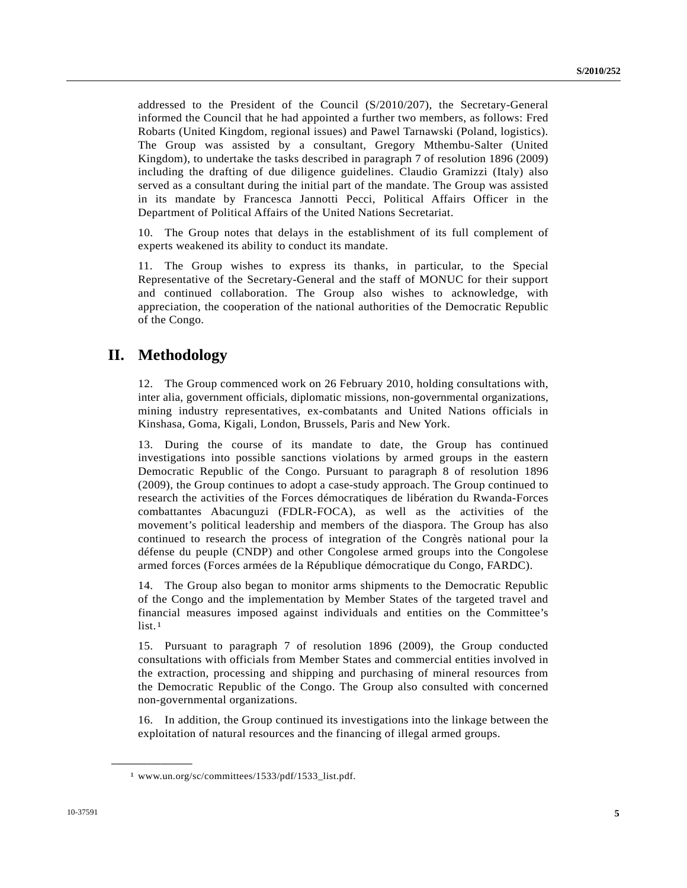addressed to the President of the Council (S/2010/207), the Secretary-General informed the Council that he had appointed a further two members, as follows: Fred Robarts (United Kingdom, regional issues) and Pawel Tarnawski (Poland, logistics). The Group was assisted by a consultant, Gregory Mthembu-Salter (United Kingdom), to undertake the tasks described in paragraph 7 of resolution 1896 (2009) including the drafting of due diligence guidelines. Claudio Gramizzi (Italy) also served as a consultant during the initial part of the mandate. The Group was assisted in its mandate by Francesca Jannotti Pecci, Political Affairs Officer in the Department of Political Affairs of the United Nations Secretariat.

10. The Group notes that delays in the establishment of its full complement of experts weakened its ability to conduct its mandate.

11. The Group wishes to express its thanks, in particular, to the Special Representative of the Secretary-General and the staff of MONUC for their support and continued collaboration. The Group also wishes to acknowledge, with appreciation, the cooperation of the national authorities of the Democratic Republic of the Congo.

## **II. Methodology**

12. The Group commenced work on 26 February 2010, holding consultations with, inter alia, government officials, diplomatic missions, non-governmental organizations, mining industry representatives, ex-combatants and United Nations officials in Kinshasa, Goma, Kigali, London, Brussels, Paris and New York.

13. During the course of its mandate to date, the Group has continued investigations into possible sanctions violations by armed groups in the eastern Democratic Republic of the Congo. Pursuant to paragraph 8 of resolution 1896 (2009), the Group continues to adopt a case-study approach. The Group continued to research the activities of the Forces démocratiques de libération du Rwanda-Forces combattantes Abacunguzi (FDLR-FOCA), as well as the activities of the movement's political leadership and members of the diaspora. The Group has also continued to research the process of integration of the Congrès national pour la défense du peuple (CNDP) and other Congolese armed groups into the Congolese armed forces (Forces armées de la République démocratique du Congo, FARDC).

14. The Group also began to monitor arms shipments to the Democratic Republic of the Congo and the implementation by Member States of the targeted travel and financial measures imposed against individuals and entities on the Committee's  $list.1$  $list.1$ 

15. Pursuant to paragraph 7 of resolution 1896 (2009), the Group conducted consultations with officials from Member States and commercial entities involved in the extraction, processing and shipping and purchasing of mineral resources from the Democratic Republic of the Congo. The Group also consulted with concerned non-governmental organizations.

16. In addition, the Group continued its investigations into the linkage between the exploitation of natural resources and the financing of illegal armed groups.

<span id="page-4-0"></span>**\_\_\_\_\_\_\_\_\_\_\_\_\_\_\_\_\_\_** 

<sup>1</sup> www.un.org/sc/committees/1533/pdf/1533\_list.pdf.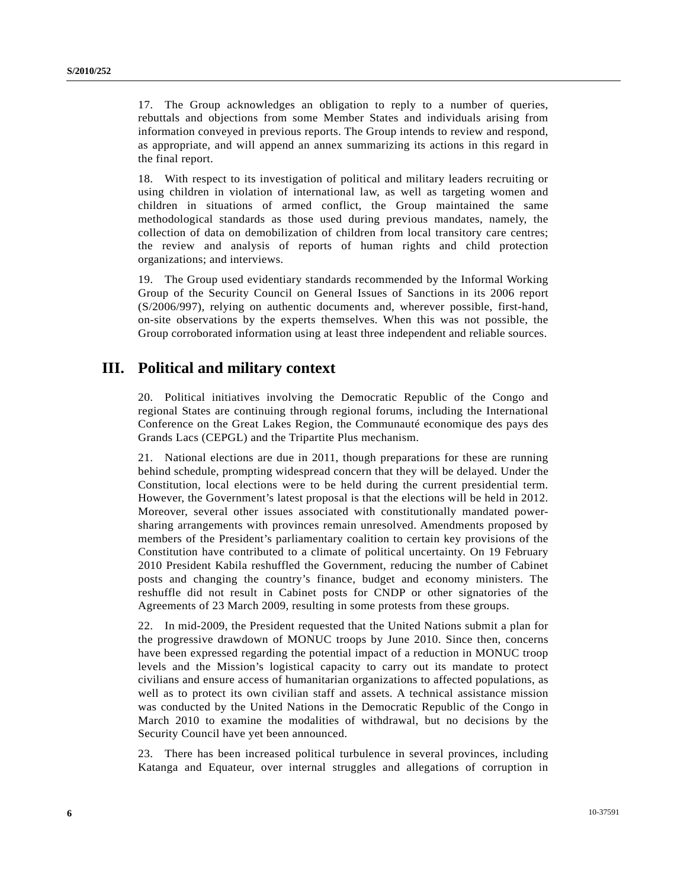17. The Group acknowledges an obligation to reply to a number of queries, rebuttals and objections from some Member States and individuals arising from information conveyed in previous reports. The Group intends to review and respond, as appropriate, and will append an annex summarizing its actions in this regard in the final report.

18. With respect to its investigation of political and military leaders recruiting or using children in violation of international law, as well as targeting women and children in situations of armed conflict, the Group maintained the same methodological standards as those used during previous mandates, namely, the collection of data on demobilization of children from local transitory care centres; the review and analysis of reports of human rights and child protection organizations; and interviews.

19. The Group used evidentiary standards recommended by the Informal Working Group of the Security Council on General Issues of Sanctions in its 2006 report (S/2006/997), relying on authentic documents and, wherever possible, first-hand, on-site observations by the experts themselves. When this was not possible, the Group corroborated information using at least three independent and reliable sources.

# **III. Political and military context**

20. Political initiatives involving the Democratic Republic of the Congo and regional States are continuing through regional forums, including the International Conference on the Great Lakes Region, the Communauté economique des pays des Grands Lacs (CEPGL) and the Tripartite Plus mechanism.

21. National elections are due in 2011, though preparations for these are running behind schedule, prompting widespread concern that they will be delayed. Under the Constitution, local elections were to be held during the current presidential term. However, the Government's latest proposal is that the elections will be held in 2012. Moreover, several other issues associated with constitutionally mandated powersharing arrangements with provinces remain unresolved. Amendments proposed by members of the President's parliamentary coalition to certain key provisions of the Constitution have contributed to a climate of political uncertainty. On 19 February 2010 President Kabila reshuffled the Government, reducing the number of Cabinet posts and changing the country's finance, budget and economy ministers. The reshuffle did not result in Cabinet posts for CNDP or other signatories of the Agreements of 23 March 2009, resulting in some protests from these groups.

22. In mid-2009, the President requested that the United Nations submit a plan for the progressive drawdown of MONUC troops by June 2010. Since then, concerns have been expressed regarding the potential impact of a reduction in MONUC troop levels and the Mission's logistical capacity to carry out its mandate to protect civilians and ensure access of humanitarian organizations to affected populations, as well as to protect its own civilian staff and assets. A technical assistance mission was conducted by the United Nations in the Democratic Republic of the Congo in March 2010 to examine the modalities of withdrawal, but no decisions by the Security Council have yet been announced.

23. There has been increased political turbulence in several provinces, including Katanga and Equateur, over internal struggles and allegations of corruption in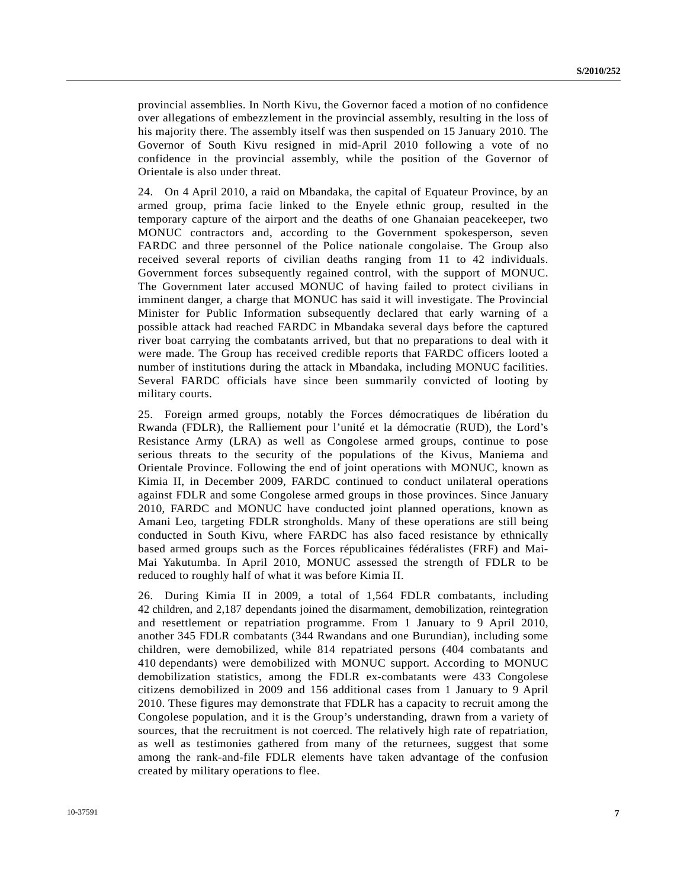provincial assemblies. In North Kivu, the Governor faced a motion of no confidence over allegations of embezzlement in the provincial assembly, resulting in the loss of his majority there. The assembly itself was then suspended on 15 January 2010. The Governor of South Kivu resigned in mid-April 2010 following a vote of no confidence in the provincial assembly, while the position of the Governor of Orientale is also under threat.

24. On 4 April 2010, a raid on Mbandaka, the capital of Equateur Province, by an armed group, prima facie linked to the Enyele ethnic group, resulted in the temporary capture of the airport and the deaths of one Ghanaian peacekeeper, two MONUC contractors and, according to the Government spokesperson, seven FARDC and three personnel of the Police nationale congolaise. The Group also received several reports of civilian deaths ranging from 11 to 42 individuals. Government forces subsequently regained control, with the support of MONUC. The Government later accused MONUC of having failed to protect civilians in imminent danger, a charge that MONUC has said it will investigate. The Provincial Minister for Public Information subsequently declared that early warning of a possible attack had reached FARDC in Mbandaka several days before the captured river boat carrying the combatants arrived, but that no preparations to deal with it were made. The Group has received credible reports that FARDC officers looted a number of institutions during the attack in Mbandaka, including MONUC facilities. Several FARDC officials have since been summarily convicted of looting by military courts.

25. Foreign armed groups, notably the Forces démocratiques de libération du Rwanda (FDLR), the Ralliement pour l'unité et la démocratie (RUD), the Lord's Resistance Army (LRA) as well as Congolese armed groups, continue to pose serious threats to the security of the populations of the Kivus, Maniema and Orientale Province. Following the end of joint operations with MONUC, known as Kimia II, in December 2009, FARDC continued to conduct unilateral operations against FDLR and some Congolese armed groups in those provinces. Since January 2010, FARDC and MONUC have conducted joint planned operations, known as Amani Leo, targeting FDLR strongholds. Many of these operations are still being conducted in South Kivu, where FARDC has also faced resistance by ethnically based armed groups such as the Forces républicaines fédéralistes (FRF) and Mai-Mai Yakutumba. In April 2010, MONUC assessed the strength of FDLR to be reduced to roughly half of what it was before Kimia II.

26. During Kimia II in 2009, a total of 1,564 FDLR combatants, including 42 children, and 2,187 dependants joined the disarmament, demobilization, reintegration and resettlement or repatriation programme. From 1 January to 9 April 2010, another 345 FDLR combatants (344 Rwandans and one Burundian), including some children, were demobilized, while 814 repatriated persons (404 combatants and 410 dependants) were demobilized with MONUC support. According to MONUC demobilization statistics, among the FDLR ex-combatants were 433 Congolese citizens demobilized in 2009 and 156 additional cases from 1 January to 9 April 2010. These figures may demonstrate that FDLR has a capacity to recruit among the Congolese population, and it is the Group's understanding, drawn from a variety of sources, that the recruitment is not coerced. The relatively high rate of repatriation, as well as testimonies gathered from many of the returnees, suggest that some among the rank-and-file FDLR elements have taken advantage of the confusion created by military operations to flee.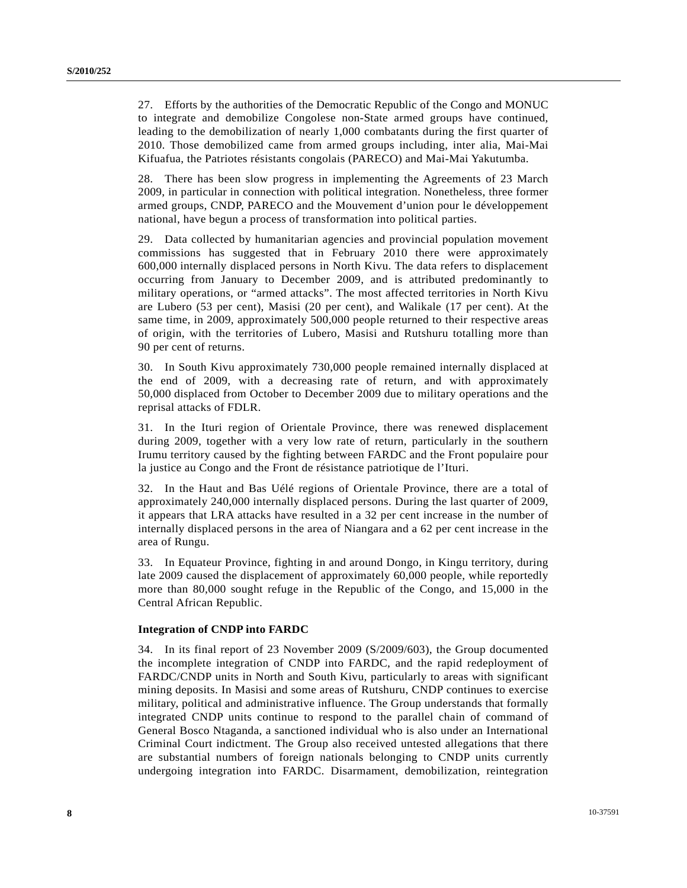27. Efforts by the authorities of the Democratic Republic of the Congo and MONUC to integrate and demobilize Congolese non-State armed groups have continued, leading to the demobilization of nearly 1,000 combatants during the first quarter of 2010. Those demobilized came from armed groups including, inter alia, Mai-Mai Kifuafua, the Patriotes résistants congolais (PARECO) and Mai-Mai Yakutumba.

28. There has been slow progress in implementing the Agreements of 23 March 2009, in particular in connection with political integration. Nonetheless, three former armed groups, CNDP, PARECO and the Mouvement d'union pour le développement national, have begun a process of transformation into political parties.

29. Data collected by humanitarian agencies and provincial population movement commissions has suggested that in February 2010 there were approximately 600,000 internally displaced persons in North Kivu. The data refers to displacement occurring from January to December 2009, and is attributed predominantly to military operations, or "armed attacks". The most affected territories in North Kivu are Lubero (53 per cent), Masisi (20 per cent), and Walikale (17 per cent). At the same time, in 2009, approximately 500,000 people returned to their respective areas of origin, with the territories of Lubero, Masisi and Rutshuru totalling more than 90 per cent of returns.

30. In South Kivu approximately 730,000 people remained internally displaced at the end of 2009, with a decreasing rate of return, and with approximately 50,000 displaced from October to December 2009 due to military operations and the reprisal attacks of FDLR.

31. In the Ituri region of Orientale Province, there was renewed displacement during 2009, together with a very low rate of return, particularly in the southern Irumu territory caused by the fighting between FARDC and the Front populaire pour la justice au Congo and the Front de résistance patriotique de l'Ituri.

32. In the Haut and Bas Uélé regions of Orientale Province, there are a total of approximately 240,000 internally displaced persons. During the last quarter of 2009, it appears that LRA attacks have resulted in a 32 per cent increase in the number of internally displaced persons in the area of Niangara and a 62 per cent increase in the area of Rungu.

33. In Equateur Province, fighting in and around Dongo, in Kingu territory, during late 2009 caused the displacement of approximately 60,000 people, while reportedly more than 80,000 sought refuge in the Republic of the Congo, and 15,000 in the Central African Republic.

#### **Integration of CNDP into FARDC**

34. In its final report of 23 November 2009 (S/2009/603), the Group documented the incomplete integration of CNDP into FARDC, and the rapid redeployment of FARDC/CNDP units in North and South Kivu, particularly to areas with significant mining deposits. In Masisi and some areas of Rutshuru, CNDP continues to exercise military, political and administrative influence. The Group understands that formally integrated CNDP units continue to respond to the parallel chain of command of General Bosco Ntaganda, a sanctioned individual who is also under an International Criminal Court indictment. The Group also received untested allegations that there are substantial numbers of foreign nationals belonging to CNDP units currently undergoing integration into FARDC. Disarmament, demobilization, reintegration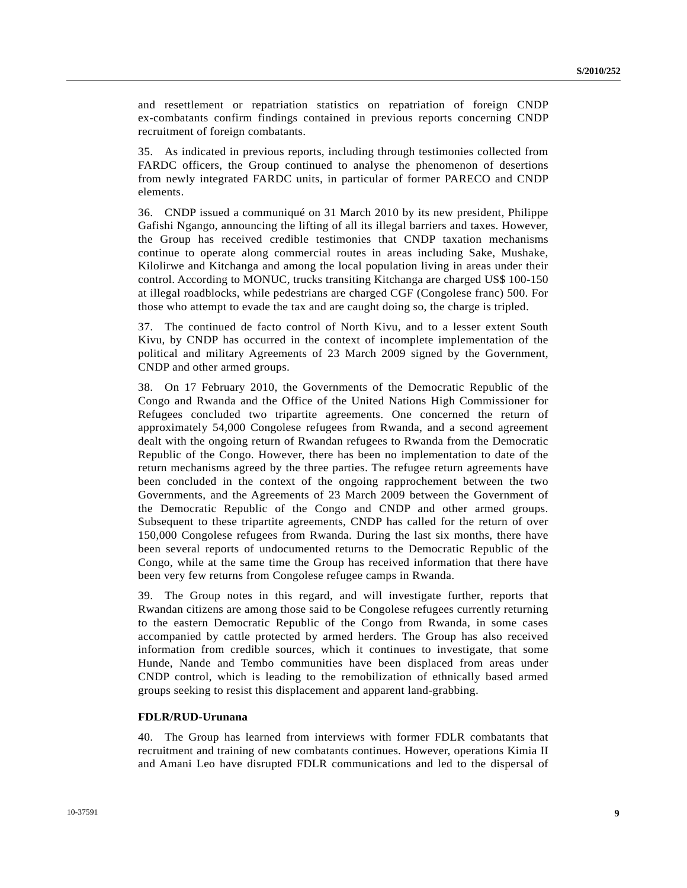and resettlement or repatriation statistics on repatriation of foreign CNDP ex-combatants confirm findings contained in previous reports concerning CNDP recruitment of foreign combatants.

35. As indicated in previous reports, including through testimonies collected from FARDC officers, the Group continued to analyse the phenomenon of desertions from newly integrated FARDC units, in particular of former PARECO and CNDP elements.

36. CNDP issued a communiqué on 31 March 2010 by its new president, Philippe Gafishi Ngango, announcing the lifting of all its illegal barriers and taxes. However, the Group has received credible testimonies that CNDP taxation mechanisms continue to operate along commercial routes in areas including Sake, Mushake, Kilolirwe and Kitchanga and among the local population living in areas under their control. According to MONUC, trucks transiting Kitchanga are charged US\$ 100-150 at illegal roadblocks, while pedestrians are charged CGF (Congolese franc) 500. For those who attempt to evade the tax and are caught doing so, the charge is tripled.

37. The continued de facto control of North Kivu, and to a lesser extent South Kivu, by CNDP has occurred in the context of incomplete implementation of the political and military Agreements of 23 March 2009 signed by the Government, CNDP and other armed groups.

38. On 17 February 2010, the Governments of the Democratic Republic of the Congo and Rwanda and the Office of the United Nations High Commissioner for Refugees concluded two tripartite agreements. One concerned the return of approximately 54,000 Congolese refugees from Rwanda, and a second agreement dealt with the ongoing return of Rwandan refugees to Rwanda from the Democratic Republic of the Congo. However, there has been no implementation to date of the return mechanisms agreed by the three parties. The refugee return agreements have been concluded in the context of the ongoing rapprochement between the two Governments, and the Agreements of 23 March 2009 between the Government of the Democratic Republic of the Congo and CNDP and other armed groups. Subsequent to these tripartite agreements, CNDP has called for the return of over 150,000 Congolese refugees from Rwanda. During the last six months, there have been several reports of undocumented returns to the Democratic Republic of the Congo, while at the same time the Group has received information that there have been very few returns from Congolese refugee camps in Rwanda.

39. The Group notes in this regard, and will investigate further, reports that Rwandan citizens are among those said to be Congolese refugees currently returning to the eastern Democratic Republic of the Congo from Rwanda, in some cases accompanied by cattle protected by armed herders. The Group has also received information from credible sources, which it continues to investigate, that some Hunde, Nande and Tembo communities have been displaced from areas under CNDP control, which is leading to the remobilization of ethnically based armed groups seeking to resist this displacement and apparent land-grabbing.

#### **FDLR/RUD-Urunana**

40. The Group has learned from interviews with former FDLR combatants that recruitment and training of new combatants continues. However, operations Kimia II and Amani Leo have disrupted FDLR communications and led to the dispersal of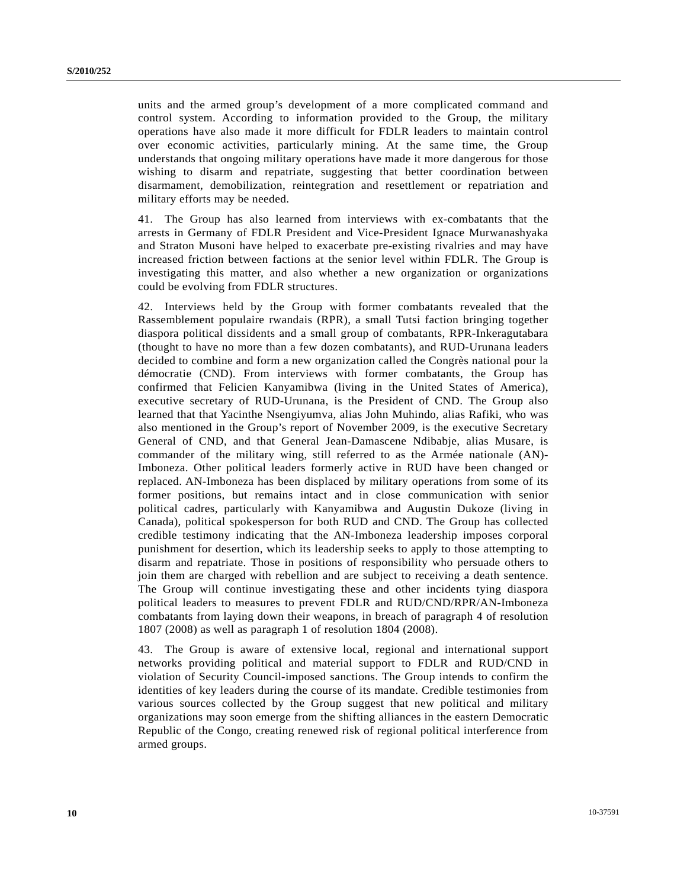units and the armed group's development of a more complicated command and control system. According to information provided to the Group, the military operations have also made it more difficult for FDLR leaders to maintain control over economic activities, particularly mining. At the same time, the Group understands that ongoing military operations have made it more dangerous for those wishing to disarm and repatriate, suggesting that better coordination between disarmament, demobilization, reintegration and resettlement or repatriation and military efforts may be needed.

41. The Group has also learned from interviews with ex-combatants that the arrests in Germany of FDLR President and Vice-President Ignace Murwanashyaka and Straton Musoni have helped to exacerbate pre-existing rivalries and may have increased friction between factions at the senior level within FDLR. The Group is investigating this matter, and also whether a new organization or organizations could be evolving from FDLR structures.

42. Interviews held by the Group with former combatants revealed that the Rassemblement populaire rwandais (RPR), a small Tutsi faction bringing together diaspora political dissidents and a small group of combatants, RPR-Inkeragutabara (thought to have no more than a few dozen combatants), and RUD-Urunana leaders decided to combine and form a new organization called the Congrès national pour la démocratie (CND). From interviews with former combatants, the Group has confirmed that Felicien Kanyamibwa (living in the United States of America), executive secretary of RUD-Urunana, is the President of CND. The Group also learned that that Yacinthe Nsengiyumva, alias John Muhindo, alias Rafiki, who was also mentioned in the Group's report of November 2009, is the executive Secretary General of CND, and that General Jean-Damascene Ndibabje, alias Musare, is commander of the military wing, still referred to as the Armée nationale (AN)- Imboneza. Other political leaders formerly active in RUD have been changed or replaced. AN-Imboneza has been displaced by military operations from some of its former positions, but remains intact and in close communication with senior political cadres, particularly with Kanyamibwa and Augustin Dukoze (living in Canada), political spokesperson for both RUD and CND. The Group has collected credible testimony indicating that the AN-Imboneza leadership imposes corporal punishment for desertion, which its leadership seeks to apply to those attempting to disarm and repatriate. Those in positions of responsibility who persuade others to join them are charged with rebellion and are subject to receiving a death sentence. The Group will continue investigating these and other incidents tying diaspora political leaders to measures to prevent FDLR and RUD/CND/RPR/AN-Imboneza combatants from laying down their weapons, in breach of paragraph 4 of resolution 1807 (2008) as well as paragraph 1 of resolution 1804 (2008).

43. The Group is aware of extensive local, regional and international support networks providing political and material support to FDLR and RUD/CND in violation of Security Council-imposed sanctions. The Group intends to confirm the identities of key leaders during the course of its mandate. Credible testimonies from various sources collected by the Group suggest that new political and military organizations may soon emerge from the shifting alliances in the eastern Democratic Republic of the Congo, creating renewed risk of regional political interference from armed groups.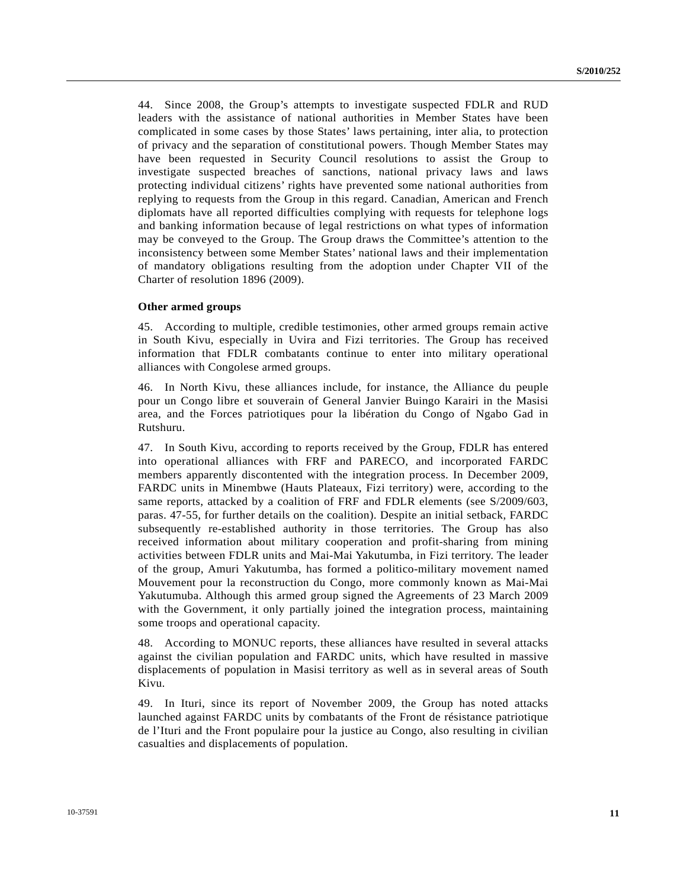44. Since 2008, the Group's attempts to investigate suspected FDLR and RUD leaders with the assistance of national authorities in Member States have been complicated in some cases by those States' laws pertaining, inter alia, to protection of privacy and the separation of constitutional powers. Though Member States may have been requested in Security Council resolutions to assist the Group to investigate suspected breaches of sanctions, national privacy laws and laws protecting individual citizens' rights have prevented some national authorities from replying to requests from the Group in this regard. Canadian, American and French diplomats have all reported difficulties complying with requests for telephone logs and banking information because of legal restrictions on what types of information may be conveyed to the Group. The Group draws the Committee's attention to the inconsistency between some Member States' national laws and their implementation of mandatory obligations resulting from the adoption under Chapter VII of the Charter of resolution 1896 (2009).

#### **Other armed groups**

45. According to multiple, credible testimonies, other armed groups remain active in South Kivu, especially in Uvira and Fizi territories. The Group has received information that FDLR combatants continue to enter into military operational alliances with Congolese armed groups.

46. In North Kivu, these alliances include, for instance, the Alliance du peuple pour un Congo libre et souverain of General Janvier Buingo Karairi in the Masisi area, and the Forces patriotiques pour la libération du Congo of Ngabo Gad in Rutshuru.

47. In South Kivu, according to reports received by the Group, FDLR has entered into operational alliances with FRF and PARECO, and incorporated FARDC members apparently discontented with the integration process. In December 2009, FARDC units in Minembwe (Hauts Plateaux, Fizi territory) were, according to the same reports, attacked by a coalition of FRF and FDLR elements (see S/2009/603, paras. 47-55, for further details on the coalition). Despite an initial setback, FARDC subsequently re-established authority in those territories. The Group has also received information about military cooperation and profit-sharing from mining activities between FDLR units and Mai-Mai Yakutumba, in Fizi territory. The leader of the group, Amuri Yakutumba, has formed a politico-military movement named Mouvement pour la reconstruction du Congo, more commonly known as Mai-Mai Yakutumuba. Although this armed group signed the Agreements of 23 March 2009 with the Government, it only partially joined the integration process, maintaining some troops and operational capacity.

48. According to MONUC reports, these alliances have resulted in several attacks against the civilian population and FARDC units, which have resulted in massive displacements of population in Masisi territory as well as in several areas of South Kivu.

49. In Ituri, since its report of November 2009, the Group has noted attacks launched against FARDC units by combatants of the Front de résistance patriotique de l'Ituri and the Front populaire pour la justice au Congo, also resulting in civilian casualties and displacements of population.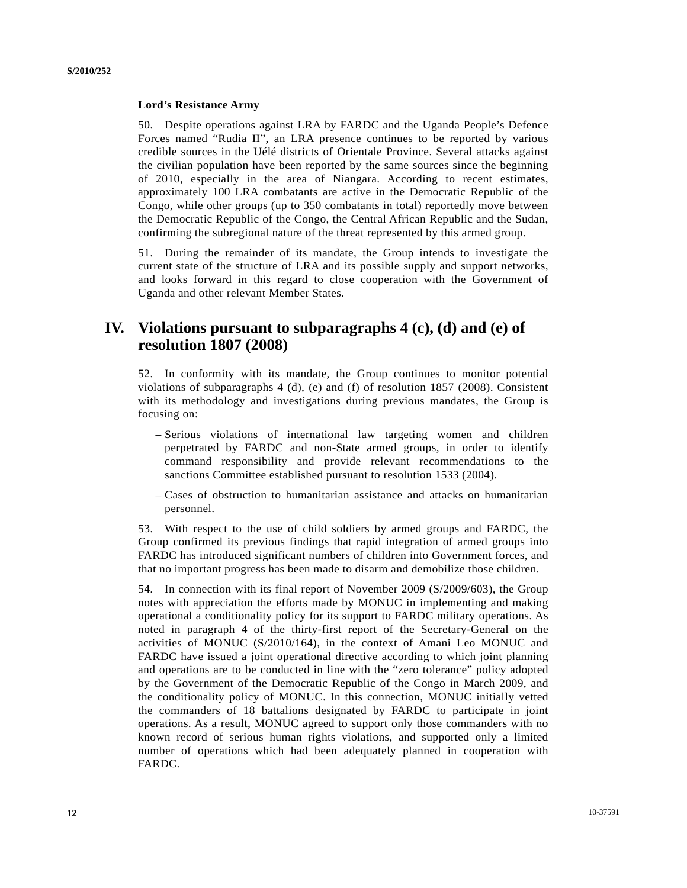#### **Lord's Resistance Army**

50. Despite operations against LRA by FARDC and the Uganda People's Defence Forces named "Rudia II", an LRA presence continues to be reported by various credible sources in the Uélé districts of Orientale Province. Several attacks against the civilian population have been reported by the same sources since the beginning of 2010, especially in the area of Niangara. According to recent estimates, approximately 100 LRA combatants are active in the Democratic Republic of the Congo, while other groups (up to 350 combatants in total) reportedly move between the Democratic Republic of the Congo, the Central African Republic and the Sudan, confirming the subregional nature of the threat represented by this armed group.

51. During the remainder of its mandate, the Group intends to investigate the current state of the structure of LRA and its possible supply and support networks, and looks forward in this regard to close cooperation with the Government of Uganda and other relevant Member States.

# **IV. Violations pursuant to subparagraphs 4 (c), (d) and (e) of resolution 1807 (2008)**

52. In conformity with its mandate, the Group continues to monitor potential violations of subparagraphs 4 (d), (e) and (f) of resolution 1857 (2008). Consistent with its methodology and investigations during previous mandates, the Group is focusing on:

- Serious violations of international law targeting women and children perpetrated by FARDC and non-State armed groups, in order to identify command responsibility and provide relevant recommendations to the sanctions Committee established pursuant to resolution 1533 (2004).
- Cases of obstruction to humanitarian assistance and attacks on humanitarian personnel.

53. With respect to the use of child soldiers by armed groups and FARDC, the Group confirmed its previous findings that rapid integration of armed groups into FARDC has introduced significant numbers of children into Government forces, and that no important progress has been made to disarm and demobilize those children.

54. In connection with its final report of November 2009 (S/2009/603), the Group notes with appreciation the efforts made by MONUC in implementing and making operational a conditionality policy for its support to FARDC military operations. As noted in paragraph 4 of the thirty-first report of the Secretary-General on the activities of MONUC (S/2010/164), in the context of Amani Leo MONUC and FARDC have issued a joint operational directive according to which joint planning and operations are to be conducted in line with the "zero tolerance" policy adopted by the Government of the Democratic Republic of the Congo in March 2009, and the conditionality policy of MONUC. In this connection, MONUC initially vetted the commanders of 18 battalions designated by FARDC to participate in joint operations. As a result, MONUC agreed to support only those commanders with no known record of serious human rights violations, and supported only a limited number of operations which had been adequately planned in cooperation with FARDC.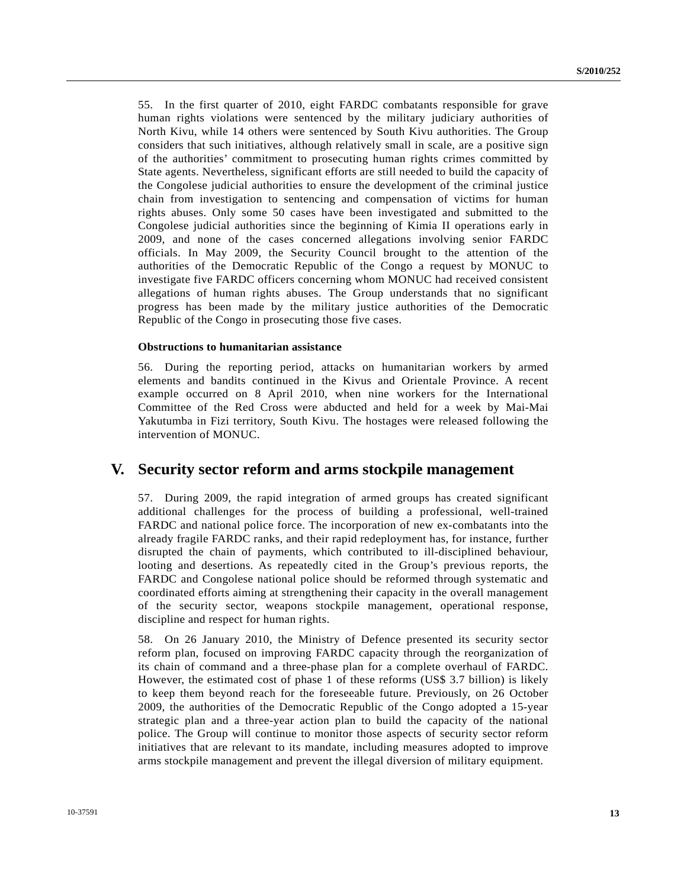55. In the first quarter of 2010, eight FARDC combatants responsible for grave human rights violations were sentenced by the military judiciary authorities of North Kivu, while 14 others were sentenced by South Kivu authorities. The Group considers that such initiatives, although relatively small in scale, are a positive sign of the authorities' commitment to prosecuting human rights crimes committed by State agents. Nevertheless, significant efforts are still needed to build the capacity of the Congolese judicial authorities to ensure the development of the criminal justice chain from investigation to sentencing and compensation of victims for human rights abuses. Only some 50 cases have been investigated and submitted to the Congolese judicial authorities since the beginning of Kimia II operations early in 2009, and none of the cases concerned allegations involving senior FARDC officials. In May 2009, the Security Council brought to the attention of the authorities of the Democratic Republic of the Congo a request by MONUC to investigate five FARDC officers concerning whom MONUC had received consistent allegations of human rights abuses. The Group understands that no significant progress has been made by the military justice authorities of the Democratic Republic of the Congo in prosecuting those five cases.

#### **Obstructions to humanitarian assistance**

56. During the reporting period, attacks on humanitarian workers by armed elements and bandits continued in the Kivus and Orientale Province. A recent example occurred on 8 April 2010, when nine workers for the International Committee of the Red Cross were abducted and held for a week by Mai-Mai Yakutumba in Fizi territory, South Kivu. The hostages were released following the intervention of MONUC.

### **V. Security sector reform and arms stockpile management**

57. During 2009, the rapid integration of armed groups has created significant additional challenges for the process of building a professional, well-trained FARDC and national police force. The incorporation of new ex-combatants into the already fragile FARDC ranks, and their rapid redeployment has, for instance, further disrupted the chain of payments, which contributed to ill-disciplined behaviour, looting and desertions. As repeatedly cited in the Group's previous reports, the FARDC and Congolese national police should be reformed through systematic and coordinated efforts aiming at strengthening their capacity in the overall management of the security sector, weapons stockpile management, operational response, discipline and respect for human rights.

58. On 26 January 2010, the Ministry of Defence presented its security sector reform plan, focused on improving FARDC capacity through the reorganization of its chain of command and a three-phase plan for a complete overhaul of FARDC. However, the estimated cost of phase 1 of these reforms (US\$ 3.7 billion) is likely to keep them beyond reach for the foreseeable future. Previously, on 26 October 2009, the authorities of the Democratic Republic of the Congo adopted a 15-year strategic plan and a three-year action plan to build the capacity of the national police. The Group will continue to monitor those aspects of security sector reform initiatives that are relevant to its mandate, including measures adopted to improve arms stockpile management and prevent the illegal diversion of military equipment.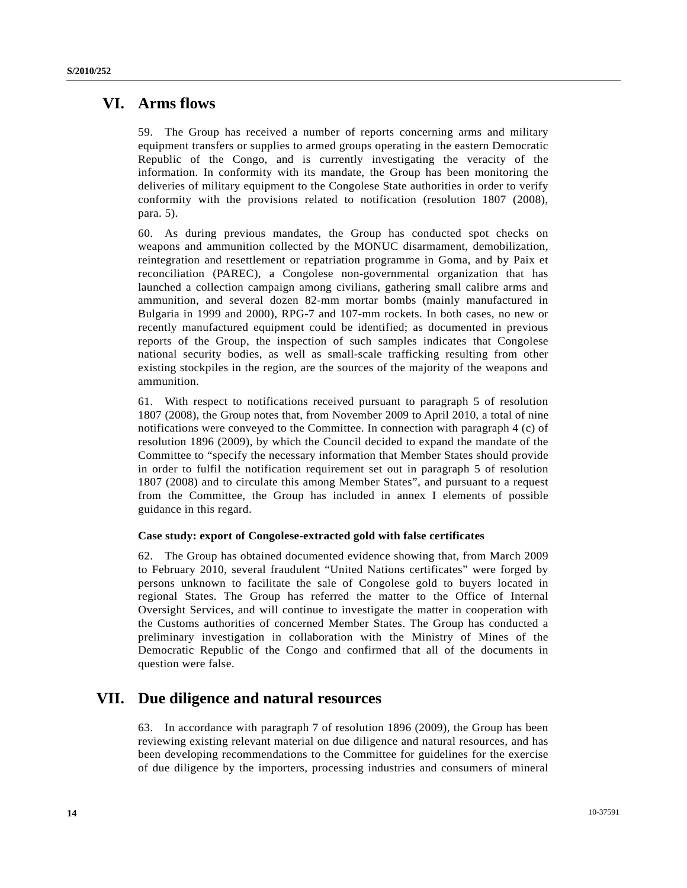# **VI. Arms flows**

59. The Group has received a number of reports concerning arms and military equipment transfers or supplies to armed groups operating in the eastern Democratic Republic of the Congo, and is currently investigating the veracity of the information. In conformity with its mandate, the Group has been monitoring the deliveries of military equipment to the Congolese State authorities in order to verify conformity with the provisions related to notification (resolution 1807 (2008), para. 5).

60. As during previous mandates, the Group has conducted spot checks on weapons and ammunition collected by the MONUC disarmament, demobilization, reintegration and resettlement or repatriation programme in Goma, and by Paix et reconciliation (PAREC), a Congolese non-governmental organization that has launched a collection campaign among civilians, gathering small calibre arms and ammunition, and several dozen 82-mm mortar bombs (mainly manufactured in Bulgaria in 1999 and 2000), RPG-7 and 107-mm rockets. In both cases, no new or recently manufactured equipment could be identified; as documented in previous reports of the Group, the inspection of such samples indicates that Congolese national security bodies, as well as small-scale trafficking resulting from other existing stockpiles in the region, are the sources of the majority of the weapons and ammunition.

61. With respect to notifications received pursuant to paragraph 5 of resolution 1807 (2008), the Group notes that, from November 2009 to April 2010, a total of nine notifications were conveyed to the Committee. In connection with paragraph 4 (c) of resolution 1896 (2009), by which the Council decided to expand the mandate of the Committee to "specify the necessary information that Member States should provide in order to fulfil the notification requirement set out in paragraph 5 of resolution 1807 (2008) and to circulate this among Member States", and pursuant to a request from the Committee, the Group has included in annex I elements of possible guidance in this regard.

#### **Case study: export of Congolese-extracted gold with false certificates**

62. The Group has obtained documented evidence showing that, from March 2009 to February 2010, several fraudulent "United Nations certificates" were forged by persons unknown to facilitate the sale of Congolese gold to buyers located in regional States. The Group has referred the matter to the Office of Internal Oversight Services, and will continue to investigate the matter in cooperation with the Customs authorities of concerned Member States. The Group has conducted a preliminary investigation in collaboration with the Ministry of Mines of the Democratic Republic of the Congo and confirmed that all of the documents in question were false.

# **VII. Due diligence and natural resources**

63. In accordance with paragraph 7 of resolution 1896 (2009), the Group has been reviewing existing relevant material on due diligence and natural resources, and has been developing recommendations to the Committee for guidelines for the exercise of due diligence by the importers, processing industries and consumers of mineral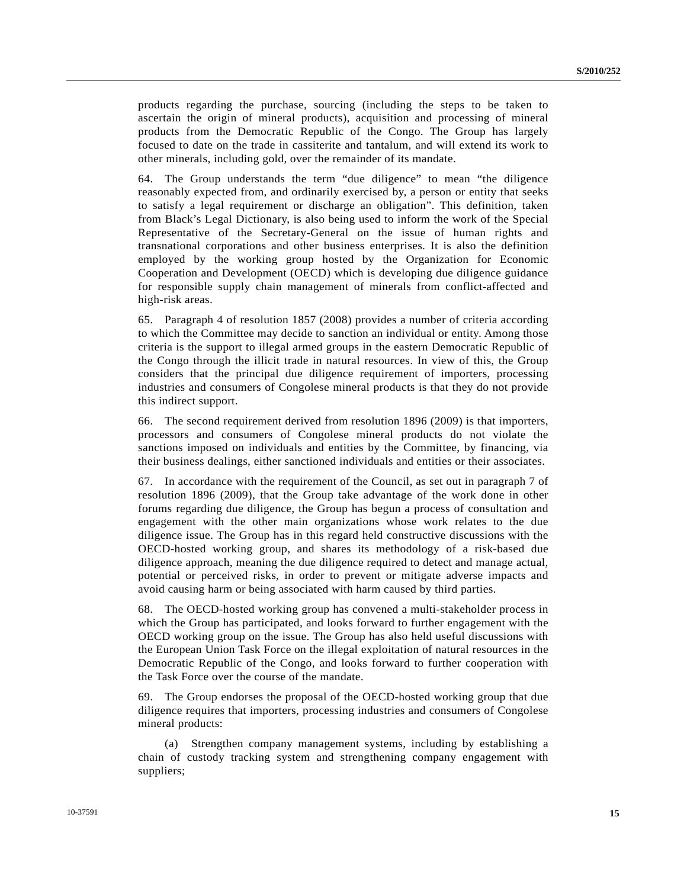products regarding the purchase, sourcing (including the steps to be taken to ascertain the origin of mineral products), acquisition and processing of mineral products from the Democratic Republic of the Congo. The Group has largely focused to date on the trade in cassiterite and tantalum, and will extend its work to other minerals, including gold, over the remainder of its mandate.

64. The Group understands the term "due diligence" to mean "the diligence reasonably expected from, and ordinarily exercised by, a person or entity that seeks to satisfy a legal requirement or discharge an obligation". This definition, taken from Black's Legal Dictionary, is also being used to inform the work of the Special Representative of the Secretary-General on the issue of human rights and transnational corporations and other business enterprises. It is also the definition employed by the working group hosted by the Organization for Economic Cooperation and Development (OECD) which is developing due diligence guidance for responsible supply chain management of minerals from conflict-affected and high-risk areas.

65. Paragraph 4 of resolution 1857 (2008) provides a number of criteria according to which the Committee may decide to sanction an individual or entity. Among those criteria is the support to illegal armed groups in the eastern Democratic Republic of the Congo through the illicit trade in natural resources. In view of this, the Group considers that the principal due diligence requirement of importers, processing industries and consumers of Congolese mineral products is that they do not provide this indirect support.

66. The second requirement derived from resolution 1896 (2009) is that importers, processors and consumers of Congolese mineral products do not violate the sanctions imposed on individuals and entities by the Committee, by financing, via their business dealings, either sanctioned individuals and entities or their associates.

67. In accordance with the requirement of the Council, as set out in paragraph 7 of resolution 1896 (2009), that the Group take advantage of the work done in other forums regarding due diligence, the Group has begun a process of consultation and engagement with the other main organizations whose work relates to the due diligence issue. The Group has in this regard held constructive discussions with the OECD-hosted working group, and shares its methodology of a risk-based due diligence approach, meaning the due diligence required to detect and manage actual, potential or perceived risks, in order to prevent or mitigate adverse impacts and avoid causing harm or being associated with harm caused by third parties.

68. The OECD-hosted working group has convened a multi-stakeholder process in which the Group has participated, and looks forward to further engagement with the OECD working group on the issue. The Group has also held useful discussions with the European Union Task Force on the illegal exploitation of natural resources in the Democratic Republic of the Congo, and looks forward to further cooperation with the Task Force over the course of the mandate.

69. The Group endorses the proposal of the OECD-hosted working group that due diligence requires that importers, processing industries and consumers of Congolese mineral products:

 (a) Strengthen company management systems, including by establishing a chain of custody tracking system and strengthening company engagement with suppliers;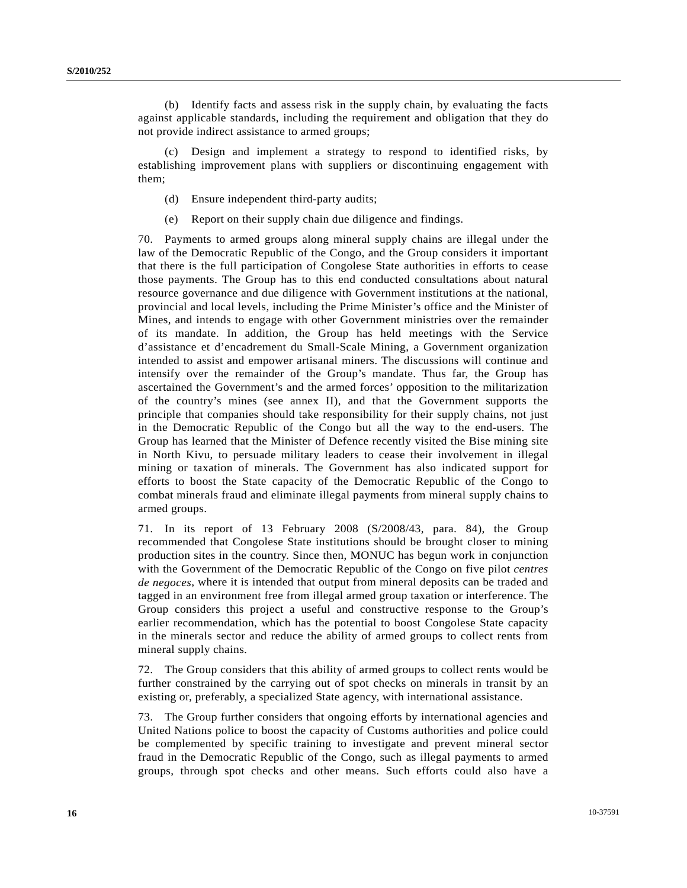(b) Identify facts and assess risk in the supply chain, by evaluating the facts against applicable standards, including the requirement and obligation that they do not provide indirect assistance to armed groups;

 (c) Design and implement a strategy to respond to identified risks, by establishing improvement plans with suppliers or discontinuing engagement with them;

- (d) Ensure independent third-party audits;
- (e) Report on their supply chain due diligence and findings.

70. Payments to armed groups along mineral supply chains are illegal under the law of the Democratic Republic of the Congo, and the Group considers it important that there is the full participation of Congolese State authorities in efforts to cease those payments. The Group has to this end conducted consultations about natural resource governance and due diligence with Government institutions at the national, provincial and local levels, including the Prime Minister's office and the Minister of Mines, and intends to engage with other Government ministries over the remainder of its mandate. In addition, the Group has held meetings with the Service d'assistance et d'encadrement du Small-Scale Mining, a Government organization intended to assist and empower artisanal miners. The discussions will continue and intensify over the remainder of the Group's mandate. Thus far, the Group has ascertained the Government's and the armed forces' opposition to the militarization of the country's mines (see annex II), and that the Government supports the principle that companies should take responsibility for their supply chains, not just in the Democratic Republic of the Congo but all the way to the end-users. The Group has learned that the Minister of Defence recently visited the Bise mining site in North Kivu, to persuade military leaders to cease their involvement in illegal mining or taxation of minerals. The Government has also indicated support for efforts to boost the State capacity of the Democratic Republic of the Congo to combat minerals fraud and eliminate illegal payments from mineral supply chains to armed groups.

71. In its report of 13 February 2008 (S/2008/43, para. 84), the Group recommended that Congolese State institutions should be brought closer to mining production sites in the country. Since then, MONUC has begun work in conjunction with the Government of the Democratic Republic of the Congo on five pilot *centres de negoces*, where it is intended that output from mineral deposits can be traded and tagged in an environment free from illegal armed group taxation or interference. The Group considers this project a useful and constructive response to the Group's earlier recommendation, which has the potential to boost Congolese State capacity in the minerals sector and reduce the ability of armed groups to collect rents from mineral supply chains.

72. The Group considers that this ability of armed groups to collect rents would be further constrained by the carrying out of spot checks on minerals in transit by an existing or, preferably, a specialized State agency, with international assistance.

73. The Group further considers that ongoing efforts by international agencies and United Nations police to boost the capacity of Customs authorities and police could be complemented by specific training to investigate and prevent mineral sector fraud in the Democratic Republic of the Congo, such as illegal payments to armed groups, through spot checks and other means. Such efforts could also have a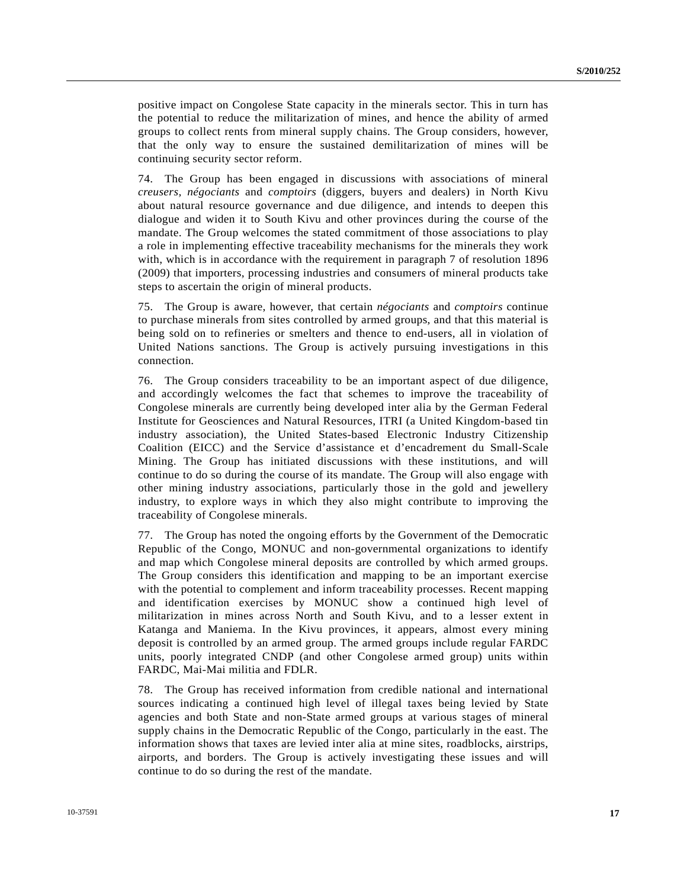positive impact on Congolese State capacity in the minerals sector. This in turn has the potential to reduce the militarization of mines, and hence the ability of armed groups to collect rents from mineral supply chains. The Group considers, however, that the only way to ensure the sustained demilitarization of mines will be continuing security sector reform.

74. The Group has been engaged in discussions with associations of mineral *creusers, négociants* and *comptoirs* (diggers, buyers and dealers) in North Kivu about natural resource governance and due diligence, and intends to deepen this dialogue and widen it to South Kivu and other provinces during the course of the mandate. The Group welcomes the stated commitment of those associations to play a role in implementing effective traceability mechanisms for the minerals they work with, which is in accordance with the requirement in paragraph 7 of resolution 1896 (2009) that importers, processing industries and consumers of mineral products take steps to ascertain the origin of mineral products.

75. The Group is aware, however, that certain *négociants* and *comptoirs* continue to purchase minerals from sites controlled by armed groups, and that this material is being sold on to refineries or smelters and thence to end-users, all in violation of United Nations sanctions. The Group is actively pursuing investigations in this connection.

76. The Group considers traceability to be an important aspect of due diligence, and accordingly welcomes the fact that schemes to improve the traceability of Congolese minerals are currently being developed inter alia by the German Federal Institute for Geosciences and Natural Resources, ITRI (a United Kingdom-based tin industry association), the United States-based Electronic Industry Citizenship Coalition (EICC) and the Service d'assistance et d'encadrement du Small-Scale Mining. The Group has initiated discussions with these institutions, and will continue to do so during the course of its mandate. The Group will also engage with other mining industry associations, particularly those in the gold and jewellery industry, to explore ways in which they also might contribute to improving the traceability of Congolese minerals.

77. The Group has noted the ongoing efforts by the Government of the Democratic Republic of the Congo, MONUC and non-governmental organizations to identify and map which Congolese mineral deposits are controlled by which armed groups. The Group considers this identification and mapping to be an important exercise with the potential to complement and inform traceability processes. Recent mapping and identification exercises by MONUC show a continued high level of militarization in mines across North and South Kivu, and to a lesser extent in Katanga and Maniema. In the Kivu provinces, it appears, almost every mining deposit is controlled by an armed group. The armed groups include regular FARDC units, poorly integrated CNDP (and other Congolese armed group) units within FARDC, Mai-Mai militia and FDLR.

78. The Group has received information from credible national and international sources indicating a continued high level of illegal taxes being levied by State agencies and both State and non-State armed groups at various stages of mineral supply chains in the Democratic Republic of the Congo, particularly in the east. The information shows that taxes are levied inter alia at mine sites, roadblocks, airstrips, airports, and borders. The Group is actively investigating these issues and will continue to do so during the rest of the mandate.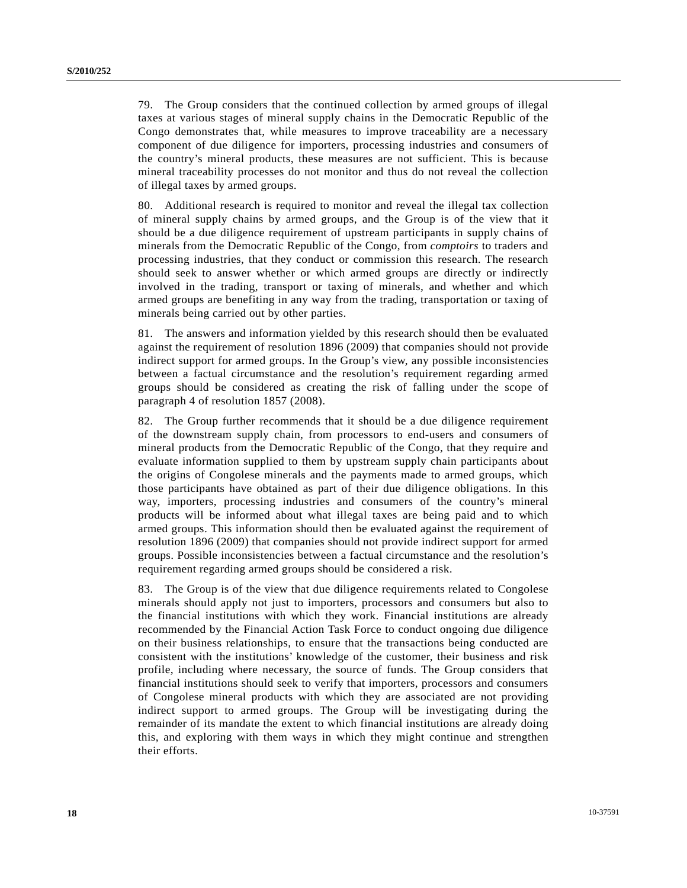79. The Group considers that the continued collection by armed groups of illegal taxes at various stages of mineral supply chains in the Democratic Republic of the Congo demonstrates that, while measures to improve traceability are a necessary component of due diligence for importers, processing industries and consumers of the country's mineral products, these measures are not sufficient. This is because mineral traceability processes do not monitor and thus do not reveal the collection of illegal taxes by armed groups.

80. Additional research is required to monitor and reveal the illegal tax collection of mineral supply chains by armed groups, and the Group is of the view that it should be a due diligence requirement of upstream participants in supply chains of minerals from the Democratic Republic of the Congo, from *comptoirs* to traders and processing industries, that they conduct or commission this research. The research should seek to answer whether or which armed groups are directly or indirectly involved in the trading, transport or taxing of minerals, and whether and which armed groups are benefiting in any way from the trading, transportation or taxing of minerals being carried out by other parties.

81. The answers and information yielded by this research should then be evaluated against the requirement of resolution 1896 (2009) that companies should not provide indirect support for armed groups. In the Group's view, any possible inconsistencies between a factual circumstance and the resolution's requirement regarding armed groups should be considered as creating the risk of falling under the scope of paragraph 4 of resolution 1857 (2008).

82. The Group further recommends that it should be a due diligence requirement of the downstream supply chain, from processors to end-users and consumers of mineral products from the Democratic Republic of the Congo, that they require and evaluate information supplied to them by upstream supply chain participants about the origins of Congolese minerals and the payments made to armed groups, which those participants have obtained as part of their due diligence obligations. In this way, importers, processing industries and consumers of the country's mineral products will be informed about what illegal taxes are being paid and to which armed groups. This information should then be evaluated against the requirement of resolution 1896 (2009) that companies should not provide indirect support for armed groups. Possible inconsistencies between a factual circumstance and the resolution's requirement regarding armed groups should be considered a risk.

83. The Group is of the view that due diligence requirements related to Congolese minerals should apply not just to importers, processors and consumers but also to the financial institutions with which they work. Financial institutions are already recommended by the Financial Action Task Force to conduct ongoing due diligence on their business relationships, to ensure that the transactions being conducted are consistent with the institutions' knowledge of the customer, their business and risk profile, including where necessary, the source of funds. The Group considers that financial institutions should seek to verify that importers, processors and consumers of Congolese mineral products with which they are associated are not providing indirect support to armed groups. The Group will be investigating during the remainder of its mandate the extent to which financial institutions are already doing this, and exploring with them ways in which they might continue and strengthen their efforts.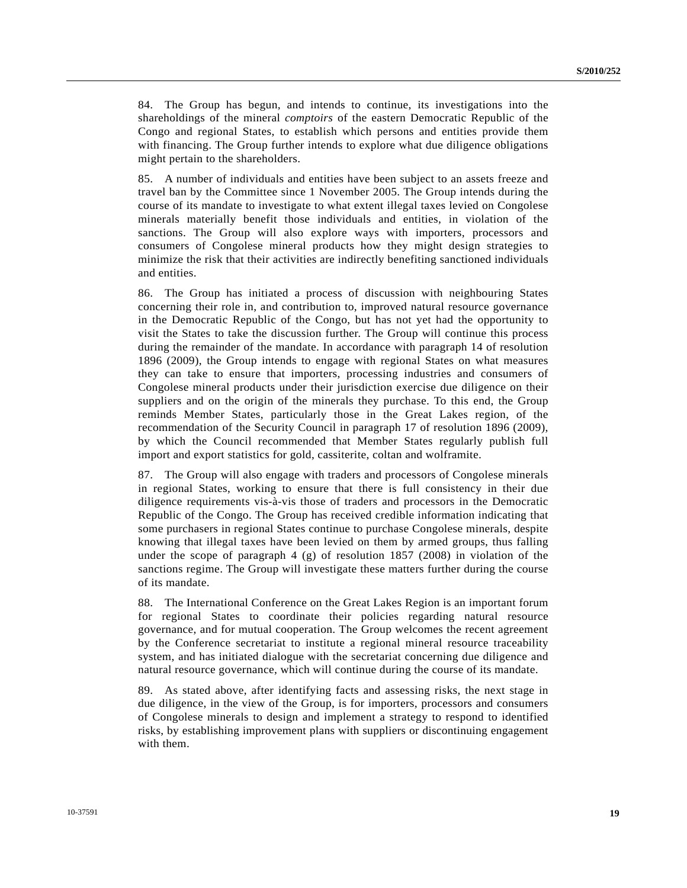84. The Group has begun, and intends to continue, its investigations into the shareholdings of the mineral *comptoirs* of the eastern Democratic Republic of the Congo and regional States, to establish which persons and entities provide them with financing. The Group further intends to explore what due diligence obligations might pertain to the shareholders.

85. A number of individuals and entities have been subject to an assets freeze and travel ban by the Committee since 1 November 2005. The Group intends during the course of its mandate to investigate to what extent illegal taxes levied on Congolese minerals materially benefit those individuals and entities, in violation of the sanctions. The Group will also explore ways with importers, processors and consumers of Congolese mineral products how they might design strategies to minimize the risk that their activities are indirectly benefiting sanctioned individuals and entities.

86. The Group has initiated a process of discussion with neighbouring States concerning their role in, and contribution to, improved natural resource governance in the Democratic Republic of the Congo, but has not yet had the opportunity to visit the States to take the discussion further. The Group will continue this process during the remainder of the mandate. In accordance with paragraph 14 of resolution 1896 (2009), the Group intends to engage with regional States on what measures they can take to ensure that importers, processing industries and consumers of Congolese mineral products under their jurisdiction exercise due diligence on their suppliers and on the origin of the minerals they purchase. To this end, the Group reminds Member States, particularly those in the Great Lakes region, of the recommendation of the Security Council in paragraph 17 of resolution 1896 (2009), by which the Council recommended that Member States regularly publish full import and export statistics for gold, cassiterite, coltan and wolframite.

87. The Group will also engage with traders and processors of Congolese minerals in regional States, working to ensure that there is full consistency in their due diligence requirements vis-à-vis those of traders and processors in the Democratic Republic of the Congo. The Group has received credible information indicating that some purchasers in regional States continue to purchase Congolese minerals, despite knowing that illegal taxes have been levied on them by armed groups, thus falling under the scope of paragraph 4 (g) of resolution 1857 (2008) in violation of the sanctions regime. The Group will investigate these matters further during the course of its mandate.

88. The International Conference on the Great Lakes Region is an important forum for regional States to coordinate their policies regarding natural resource governance, and for mutual cooperation. The Group welcomes the recent agreement by the Conference secretariat to institute a regional mineral resource traceability system, and has initiated dialogue with the secretariat concerning due diligence and natural resource governance, which will continue during the course of its mandate.

89. As stated above, after identifying facts and assessing risks, the next stage in due diligence, in the view of the Group, is for importers, processors and consumers of Congolese minerals to design and implement a strategy to respond to identified risks, by establishing improvement plans with suppliers or discontinuing engagement with them.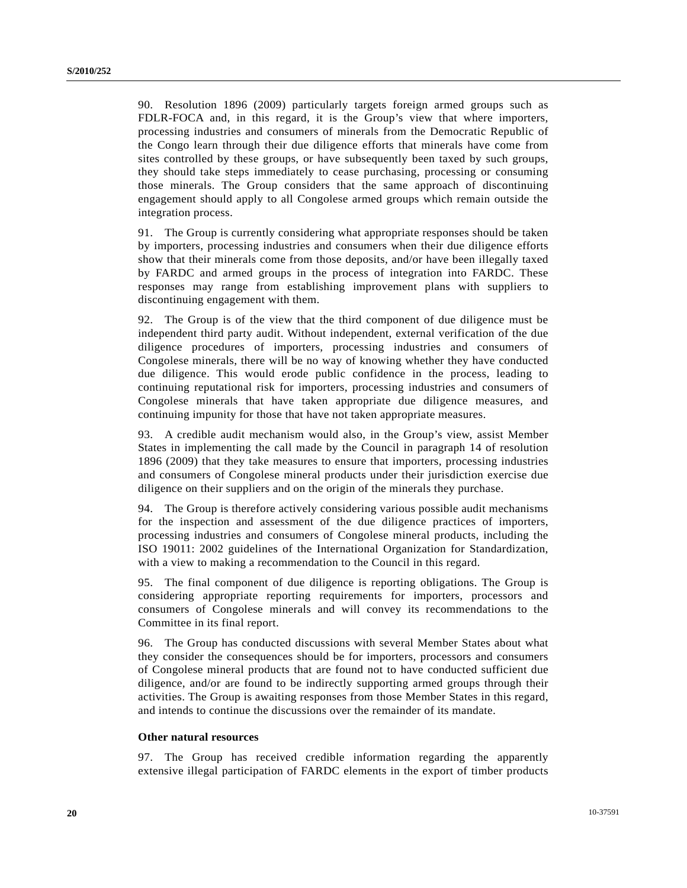90. Resolution 1896 (2009) particularly targets foreign armed groups such as FDLR-FOCA and, in this regard, it is the Group's view that where importers, processing industries and consumers of minerals from the Democratic Republic of the Congo learn through their due diligence efforts that minerals have come from sites controlled by these groups, or have subsequently been taxed by such groups, they should take steps immediately to cease purchasing, processing or consuming those minerals. The Group considers that the same approach of discontinuing engagement should apply to all Congolese armed groups which remain outside the integration process.

91. The Group is currently considering what appropriate responses should be taken by importers, processing industries and consumers when their due diligence efforts show that their minerals come from those deposits, and/or have been illegally taxed by FARDC and armed groups in the process of integration into FARDC. These responses may range from establishing improvement plans with suppliers to discontinuing engagement with them.

92. The Group is of the view that the third component of due diligence must be independent third party audit. Without independent, external verification of the due diligence procedures of importers, processing industries and consumers of Congolese minerals, there will be no way of knowing whether they have conducted due diligence. This would erode public confidence in the process, leading to continuing reputational risk for importers, processing industries and consumers of Congolese minerals that have taken appropriate due diligence measures, and continuing impunity for those that have not taken appropriate measures.

93. A credible audit mechanism would also, in the Group's view, assist Member States in implementing the call made by the Council in paragraph 14 of resolution 1896 (2009) that they take measures to ensure that importers, processing industries and consumers of Congolese mineral products under their jurisdiction exercise due diligence on their suppliers and on the origin of the minerals they purchase.

94. The Group is therefore actively considering various possible audit mechanisms for the inspection and assessment of the due diligence practices of importers, processing industries and consumers of Congolese mineral products, including the ISO 19011: 2002 guidelines of the International Organization for Standardization, with a view to making a recommendation to the Council in this regard.

95. The final component of due diligence is reporting obligations. The Group is considering appropriate reporting requirements for importers, processors and consumers of Congolese minerals and will convey its recommendations to the Committee in its final report.

96. The Group has conducted discussions with several Member States about what they consider the consequences should be for importers, processors and consumers of Congolese mineral products that are found not to have conducted sufficient due diligence, and/or are found to be indirectly supporting armed groups through their activities. The Group is awaiting responses from those Member States in this regard, and intends to continue the discussions over the remainder of its mandate.

#### **Other natural resources**

97. The Group has received credible information regarding the apparently extensive illegal participation of FARDC elements in the export of timber products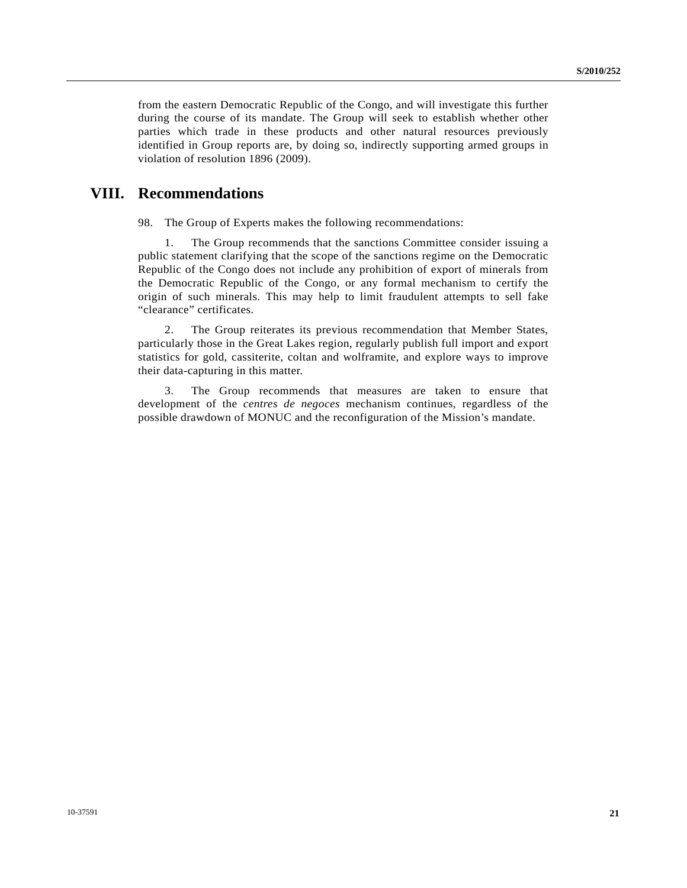from the eastern Democratic Republic of the Congo, and will investigate this further during the course of its mandate. The Group will seek to establish whether other parties which trade in these products and other natural resources previously identified in Group reports are, by doing so, indirectly supporting armed groups in violation of resolution 1896 (2009).

# **VIII. Recommendations**

98. The Group of Experts makes the following recommendations:

 1. The Group recommends that the sanctions Committee consider issuing a public statement clarifying that the scope of the sanctions regime on the Democratic Republic of the Congo does not include any prohibition of export of minerals from the Democratic Republic of the Congo, or any formal mechanism to certify the origin of such minerals. This may help to limit fraudulent attempts to sell fake "clearance" certificates.

 2. The Group reiterates its previous recommendation that Member States, particularly those in the Great Lakes region, regularly publish full import and export statistics for gold, cassiterite, coltan and wolframite, and explore ways to improve their data-capturing in this matter.

 3. The Group recommends that measures are taken to ensure that development of the *centres de negoces* mechanism continues, regardless of the possible drawdown of MONUC and the reconfiguration of the Mission's mandate.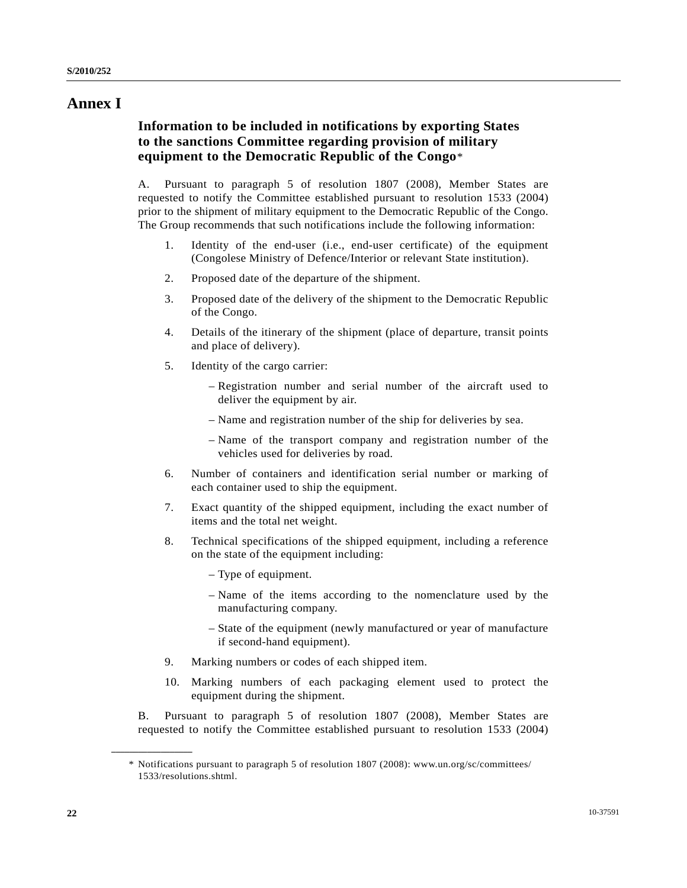## **Annex I**

## **Information to be included in notifications by exporting States to the sanctions Committee regarding provision of military equipment to the Democratic Republic of the Congo**[\\*](#page-21-0)

A. Pursuant to paragraph 5 of resolution 1807 (2008), Member States are requested to notify the Committee established pursuant to resolution 1533 (2004) prior to the shipment of military equipment to the Democratic Republic of the Congo. The Group recommends that such notifications include the following information:

- 1. Identity of the end-user (i.e., end-user certificate) of the equipment (Congolese Ministry of Defence/Interior or relevant State institution).
- 2. Proposed date of the departure of the shipment.
- 3. Proposed date of the delivery of the shipment to the Democratic Republic of the Congo.
- 4. Details of the itinerary of the shipment (place of departure, transit points and place of delivery).
- 5. Identity of the cargo carrier:
	- Registration number and serial number of the aircraft used to deliver the equipment by air.
	- Name and registration number of the ship for deliveries by sea.
	- Name of the transport company and registration number of the vehicles used for deliveries by road.
- 6. Number of containers and identification serial number or marking of each container used to ship the equipment.
- 7. Exact quantity of the shipped equipment, including the exact number of items and the total net weight.
- 8. Technical specifications of the shipped equipment, including a reference on the state of the equipment including:
	- Type of equipment.
	- Name of the items according to the nomenclature used by the manufacturing company.
	- State of the equipment (newly manufactured or year of manufacture if second-hand equipment).
- 9. Marking numbers or codes of each shipped item.
- 10. Marking numbers of each packaging element used to protect the equipment during the shipment.

B. Pursuant to paragraph 5 of resolution 1807 (2008), Member States are requested to notify the Committee established pursuant to resolution 1533 (2004)

<span id="page-21-0"></span>**\_\_\_\_\_\_\_\_\_\_\_\_\_\_\_\_\_\_** 

 <sup>\*</sup> Notifications pursuant to paragraph 5 of resolution 1807 (2008): www.un.org/sc/committees/ 1533/resolutions.shtml.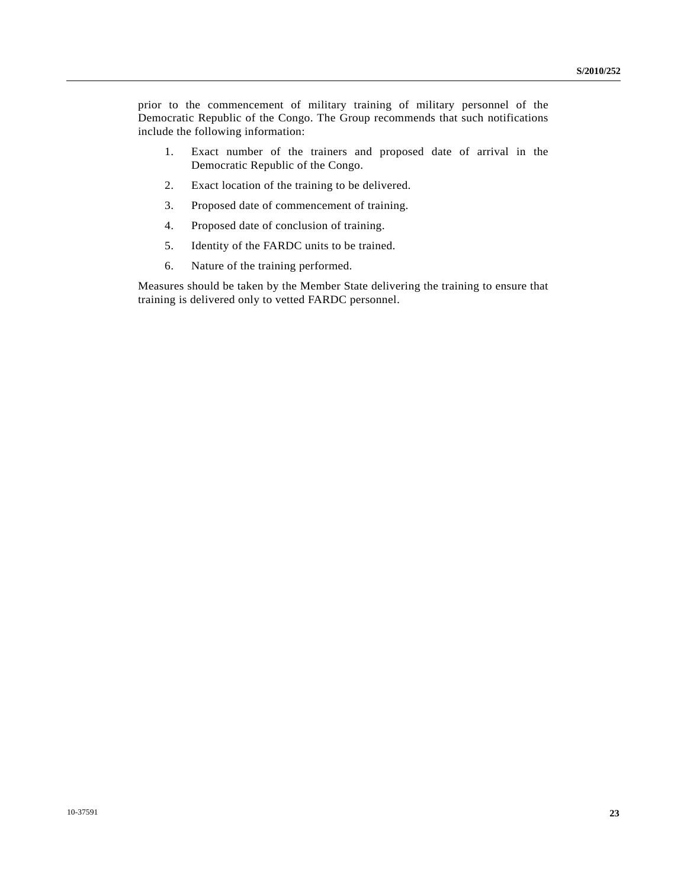prior to the commencement of military training of military personnel of the Democratic Republic of the Congo. The Group recommends that such notifications include the following information:

- 1. Exact number of the trainers and proposed date of arrival in the Democratic Republic of the Congo.
- 2. Exact location of the training to be delivered.
- 3. Proposed date of commencement of training.
- 4. Proposed date of conclusion of training.
- 5. Identity of the FARDC units to be trained.
- 6. Nature of the training performed.

Measures should be taken by the Member State delivering the training to ensure that training is delivered only to vetted FARDC personnel.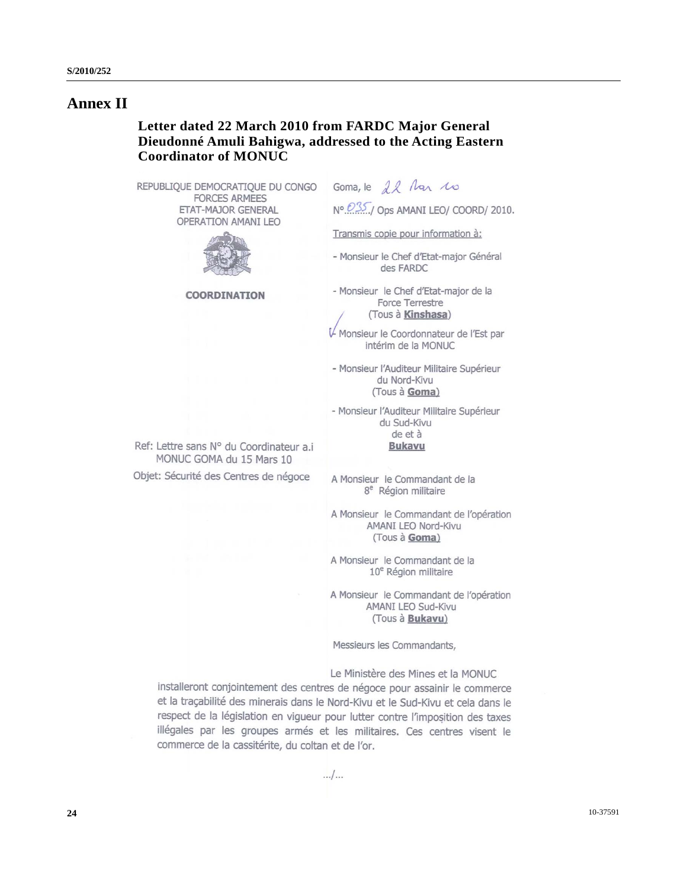# **Annex II**

## **Letter dated 22 March 2010 from FARDC Major General Dieudonné Amuli Bahigwa, addressed to the Acting Eastern Coordinator of MONUC**

REPUBLIQUE DEMOCRATIQUE DU CONGO **FORCES ARMEES** ETAT-MAJOR GENERAL OPERATION AMANI LEO



**COORDINATION** 

Ref: Lettre sans N° du Coordinateur a.i. MONUC GOMA du 15 Mars 10 Objet: Sécurité des Centres de négoce

Goma, le 12 Mar 10

Nº 035./ Ops AMANI LEO/ COORD/ 2010.

Transmis copie pour information à:

- Monsieur le Chef d'Etat-major Général des FARDC
- Monsieur le Chef d'Etat-major de la Force Terrestre (Tous à Kinshasa)

Monsieur le Coordonnateur de l'Est par intérim de la MONUC

- Monsieur l'Auditeur Militaire Supérieur du Nord-Kivu (Tous à Goma)

- Monsieur l'Auditeur Militaire Supérieur du Sud-Kivu de et à **Bukavu** 

A Monsieur le Commandant de la 8<sup>e</sup> Région militaire

A Monsieur le Commandant de l'opération AMANI LEO Nord-Kivu (Tous à Goma)

A Monsieur le Commandant de la 10<sup>e</sup> Région militaire

A Monsieur le Commandant de l'opération AMANI LEO Sud-Kivu (Tous à Bukavu)

Messieurs les Commandants,

Le Ministère des Mines et la MONUC

installeront conjointement des centres de négoce pour assainir le commerce et la traçabilité des minerais dans le Nord-Kivu et le Sud-Kivu et cela dans le respect de la législation en vigueur pour lutter contre l'imposition des taxes illégales par les groupes armés et les militaires. Ces centres visent le commerce de la cassitérite, du coltan et de l'or.